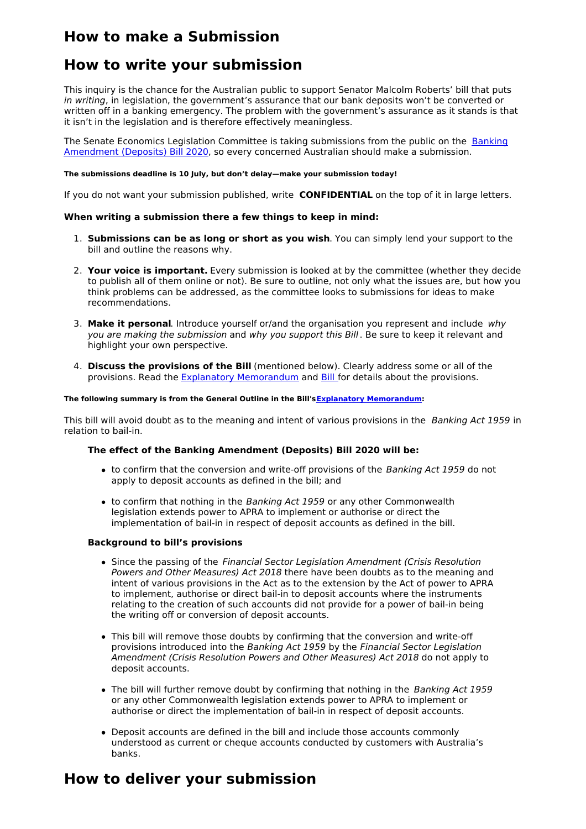# **How to make a Submission**

## **How to write your submission**

This inquiry is the chance for the Australian public to support Senator Malcolm Roberts' bill that puts in writing, in legislation, the government's assurance that our bank deposits won't be converted or written off in a banking emergency. The problem with the government's assurance as it stands is that it isn't in the legislation and is therefore effectively meaningless.

The Senate Economics Legislation Committee is taking [submissions](https://www.aph.gov.au/Parliamentary_Business/Bills_Legislation/Bills_Search_Results/Result?bId=s1257) from the public on the Banking Amendment (Deposits) Bill 2020, so every concerned Australian should make a submission.

#### **The submissions deadline is 10 July, but don't delay—make your submission today!**

If you do not want your submission published, write **CONFIDENTIAL** on the top of it in large letters.

#### **When writing a submission there a few things to keep in mind:**

- 1. **Submissions can be as long or short as you wish**. You can simply lend your support to the bill and outline the reasons why.
- 2. **Your voice is important.** Every submission is looked at by the committee (whether they decide to publish all of them online or not). Be sure to outline, not only what the issues are, but how you think problems can be addressed, as the committee looks to submissions for ideas to make recommendations.
- 3. **Make it personal**. Introduce yourself or/and the organisation you represent and include why you are making the submission and why you support this Bill. Be sure to keep it relevant and highlight your own perspective.
- 4. **Discuss the provisions of the Bill** (mentioned below). Clearly address some or all of the provisions. Read the Explanatory [Memorandum](https://parlinfo.aph.gov.au/parlInfo/download/legislation/ems/s1257_ems_766940af-489b-46df-a319-1d9d35a17e22/upload_pdf/20S05em.pdf) and [Bill](https://parlinfo.aph.gov.au/parlInfo/download/legislation/bills/s1257_first-senate/toc_pdf/20S0520.pdf) for details about the provisions.

#### **The following summary is from the General Outline in the Bill'sExplanatory [Memorandum](https://parlinfo.aph.gov.au/parlInfo/download/legislation/ems/s1257_ems_766940af-489b-46df-a319-1d9d35a17e22/upload_pdf/20S05em.pdf):**

This bill will avoid doubt as to the meaning and intent of various provisions in the Banking Act 1959 in relation to bail-in.

#### **The effect of the Banking Amendment (Deposits) Bill 2020 will be:**

- to confirm that the conversion and write-off provisions of the Banking Act 1959 do not apply to deposit accounts as defined in the bill; and
- to confirm that nothing in the Banking Act 1959 or any other Commonwealth legislation extends power to APRA to implement or authorise or direct the implementation of bail-in in respect of deposit accounts as defined in the bill.

#### **Background to bill's provisions**

- Since the passing of the Financial Sector Legislation Amendment (Crisis Resolution Powers and Other Measures) Act 2018 there have been doubts as to the meaning and intent of various provisions in the Act as to the extension by the Act of power to APRA to implement, authorise or direct bail-in to deposit accounts where the instruments relating to the creation of such accounts did not provide for a power of bail-in being the writing off or conversion of deposit accounts.
- This bill will remove those doubts by confirming that the conversion and write-off provisions introduced into the Banking Act 1959 by the Financial Sector Legislation Amendment (Crisis Resolution Powers and Other Measures) Act 2018 do not apply to deposit accounts.
- The bill will further remove doubt by confirming that nothing in the Banking Act 1959 or any other Commonwealth legislation extends power to APRA to implement or authorise or direct the implementation of bail-in in respect of deposit accounts.
- Deposit accounts are defined in the bill and include those accounts commonly understood as current or cheque accounts conducted by customers with Australia's banks.

## **How to deliver your submission**